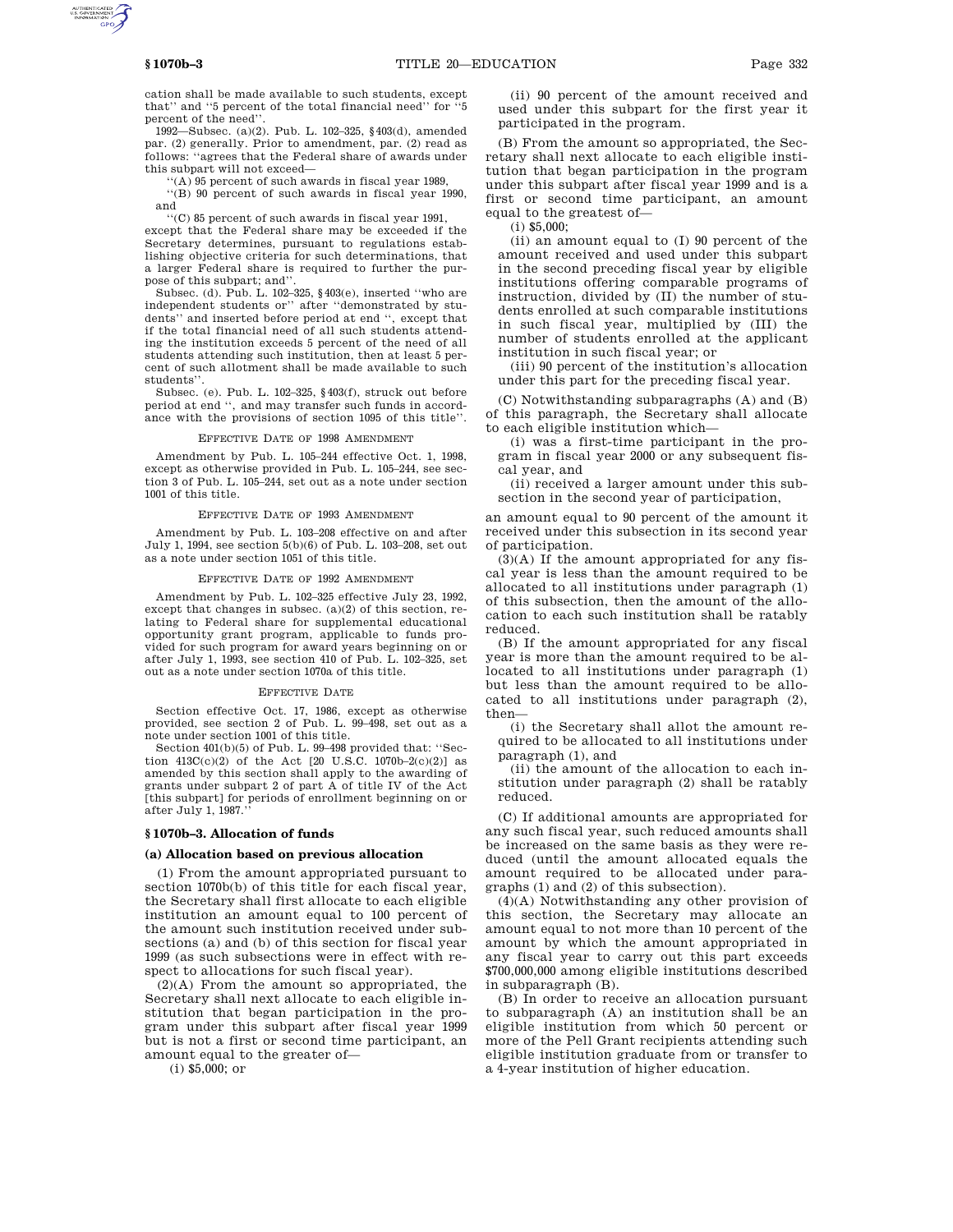cation shall be made available to such students, except that'' and ''5 percent of the total financial need'' for ''5 percent of the need''.

1992—Subsec. (a)(2). Pub. L. 102–325, §403(d), amended par. (2) generally. Prior to amendment, par. (2) read as follows: ''agrees that the Federal share of awards under this subpart will not exceed—

''(A) 95 percent of such awards in fiscal year 1989,

''(B) 90 percent of such awards in fiscal year 1990, and

''(C) 85 percent of such awards in fiscal year 1991,

except that the Federal share may be exceeded if the Secretary determines, pursuant to regulations establishing objective criteria for such determinations, that a larger Federal share is required to further the purpose of this subpart; and"

Subsec. (d). Pub. L. 102–325, §403(e), inserted ''who are independent students or'' after ''demonstrated by stu-dents'' and inserted before period at end '', except that if the total financial need of all such students attending the institution exceeds 5 percent of the need of all students attending such institution, then at least 5 percent of such allotment shall be made available to such students''.

Subsec. (e). Pub. L. 102–325, §403(f), struck out before period at end '', and may transfer such funds in accordance with the provisions of section 1095 of this title''.

## EFFECTIVE DATE OF 1998 AMENDMENT

Amendment by Pub. L. 105–244 effective Oct. 1, 1998, except as otherwise provided in Pub. L. 105–244, see section 3 of Pub. L. 105–244, set out as a note under section 1001 of this title.

## EFFECTIVE DATE OF 1993 AMENDMENT

Amendment by Pub. L. 103–208 effective on and after July 1, 1994, see section 5(b)(6) of Pub. L. 103–208, set out as a note under section 1051 of this title.

#### EFFECTIVE DATE OF 1992 AMENDMENT

Amendment by Pub. L. 102–325 effective July 23, 1992, except that changes in subsec. (a)(2) of this section, relating to Federal share for supplemental educational opportunity grant program, applicable to funds provided for such program for award years beginning on or after July 1, 1993, see section 410 of Pub. L. 102–325, set out as a note under section 1070a of this title.

#### EFFECTIVE DATE

Section effective Oct. 17, 1986, except as otherwise provided, see section 2 of Pub. L. 99–498, set out as a note under section 1001 of this title.

Section 401(b)(5) of Pub. L. 99–498 provided that: ''Section  $413C(c)(2)$  of the Act [20 U.S.C. 1070b–2(c)(2)] as amended by this section shall apply to the awarding of grants under subpart 2 of part A of title IV of the Act [this subpart] for periods of enrollment beginning on or after July 1, 1987.''

## **§ 1070b–3. Allocation of funds**

## **(a) Allocation based on previous allocation**

(1) From the amount appropriated pursuant to section 1070b(b) of this title for each fiscal year, the Secretary shall first allocate to each eligible institution an amount equal to 100 percent of the amount such institution received under subsections (a) and (b) of this section for fiscal year 1999 (as such subsections were in effect with respect to allocations for such fiscal year).

(2)(A) From the amount so appropriated, the Secretary shall next allocate to each eligible institution that began participation in the program under this subpart after fiscal year 1999 but is not a first or second time participant, an amount equal to the greater of—

(i) \$5,000; or

(ii) 90 percent of the amount received and used under this subpart for the first year it participated in the program.

(B) From the amount so appropriated, the Secretary shall next allocate to each eligible institution that began participation in the program under this subpart after fiscal year 1999 and is a first or second time participant, an amount equal to the greatest of—

(i) \$5,000;

(ii) an amount equal to (I) 90 percent of the amount received and used under this subpart in the second preceding fiscal year by eligible institutions offering comparable programs of instruction, divided by (II) the number of students enrolled at such comparable institutions in such fiscal year, multiplied by (III) the number of students enrolled at the applicant institution in such fiscal year; or

(iii) 90 percent of the institution's allocation under this part for the preceding fiscal year.

(C) Notwithstanding subparagraphs (A) and (B) of this paragraph, the Secretary shall allocate to each eligible institution which—

(i) was a first-time participant in the program in fiscal year 2000 or any subsequent fiscal year, and

(ii) received a larger amount under this subsection in the second year of participation,

an amount equal to 90 percent of the amount it received under this subsection in its second year of participation.

(3)(A) If the amount appropriated for any fiscal year is less than the amount required to be allocated to all institutions under paragraph (1) of this subsection, then the amount of the allocation to each such institution shall be ratably reduced.

(B) If the amount appropriated for any fiscal year is more than the amount required to be allocated to all institutions under paragraph (1) but less than the amount required to be allocated to all institutions under paragraph (2), then—

(i) the Secretary shall allot the amount required to be allocated to all institutions under paragraph (1), and

(ii) the amount of the allocation to each institution under paragraph (2) shall be ratably reduced.

(C) If additional amounts are appropriated for any such fiscal year, such reduced amounts shall be increased on the same basis as they were reduced (until the amount allocated equals the amount required to be allocated under paragraphs (1) and (2) of this subsection).

(4)(A) Notwithstanding any other provision of this section, the Secretary may allocate an amount equal to not more than 10 percent of the amount by which the amount appropriated in any fiscal year to carry out this part exceeds \$700,000,000 among eligible institutions described in subparagraph (B).

(B) In order to receive an allocation pursuant to subparagraph (A) an institution shall be an eligible institution from which 50 percent or more of the Pell Grant recipients attending such eligible institution graduate from or transfer to a 4-year institution of higher education.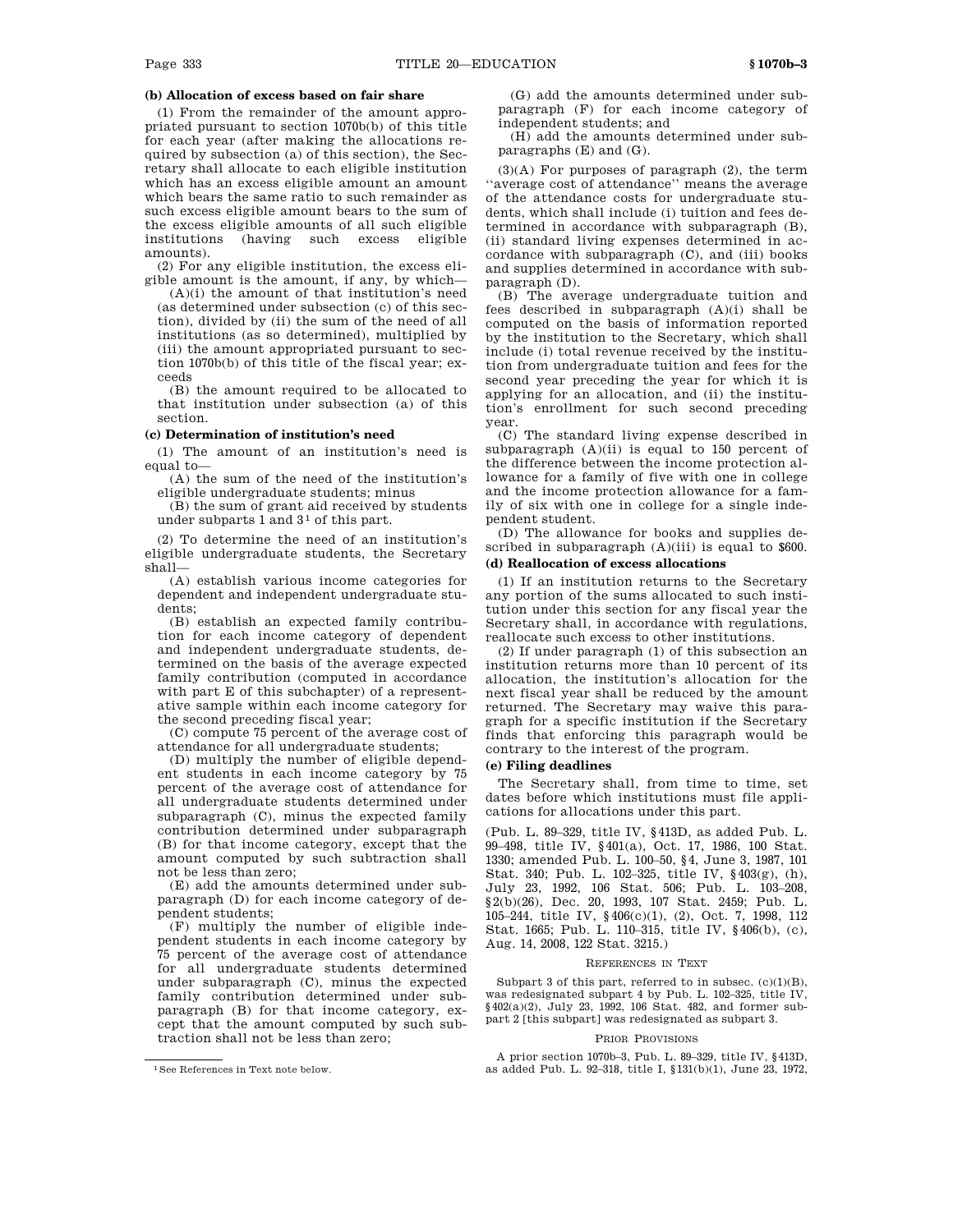# **(b) Allocation of excess based on fair share**

(1) From the remainder of the amount appropriated pursuant to section 1070b(b) of this title for each year (after making the allocations required by subsection (a) of this section), the Secretary shall allocate to each eligible institution which has an excess eligible amount an amount which bears the same ratio to such remainder as such excess eligible amount bears to the sum of the excess eligible amounts of all such eligible institutions (having such excess eligible amounts).

(2) For any eligible institution, the excess eligible amount is the amount, if any, by which—

(A)(i) the amount of that institution's need (as determined under subsection (c) of this section), divided by (ii) the sum of the need of all institutions (as so determined), multiplied by (iii) the amount appropriated pursuant to section 1070b(b) of this title of the fiscal year; exceeds

(B) the amount required to be allocated to that institution under subsection (a) of this section.

## **(c) Determination of institution's need**

(1) The amount of an institution's need is equal to—

(A) the sum of the need of the institution's eligible undergraduate students; minus

(B) the sum of grant aid received by students under subparts 1 and 3<sup>1</sup> of this part.

(2) To determine the need of an institution's eligible undergraduate students, the Secretary shall—

(A) establish various income categories for dependent and independent undergraduate students;

(B) establish an expected family contribution for each income category of dependent and independent undergraduate students, determined on the basis of the average expected family contribution (computed in accordance with part E of this subchapter) of a representative sample within each income category for the second preceding fiscal year;

(C) compute 75 percent of the average cost of attendance for all undergraduate students;

(D) multiply the number of eligible dependent students in each income category by 75 percent of the average cost of attendance for all undergraduate students determined under subparagraph (C), minus the expected family contribution determined under subparagraph (B) for that income category, except that the amount computed by such subtraction shall not be less than zero;

(E) add the amounts determined under subparagraph (D) for each income category of dependent students;

(F) multiply the number of eligible independent students in each income category by 75 percent of the average cost of attendance for all undergraduate students determined under subparagraph (C), minus the expected family contribution determined under subparagraph (B) for that income category, except that the amount computed by such subtraction shall not be less than zero;

(G) add the amounts determined under subparagraph (F) for each income category of independent students; and

(H) add the amounts determined under subparagraphs (E) and (G).

(3)(A) For purposes of paragraph (2), the term ''average cost of attendance'' means the average of the attendance costs for undergraduate students, which shall include (i) tuition and fees determined in accordance with subparagraph (B), (ii) standard living expenses determined in accordance with subparagraph (C), and (iii) books and supplies determined in accordance with subparagraph (D).

(B) The average undergraduate tuition and fees described in subparagraph (A)(i) shall be computed on the basis of information reported by the institution to the Secretary, which shall include (i) total revenue received by the institution from undergraduate tuition and fees for the second year preceding the year for which it is applying for an allocation, and (ii) the institution's enrollment for such second preceding year.

(C) The standard living expense described in subparagraph  $(A)(ii)$  is equal to 150 percent of the difference between the income protection allowance for a family of five with one in college and the income protection allowance for a family of six with one in college for a single independent student.

(D) The allowance for books and supplies described in subparagraph  $(A)(iii)$  is equal to \$600. **(d) Reallocation of excess allocations**

(1) If an institution returns to the Secretary any portion of the sums allocated to such institution under this section for any fiscal year the Secretary shall, in accordance with regulations, reallocate such excess to other institutions.

(2) If under paragraph (1) of this subsection an institution returns more than 10 percent of its allocation, the institution's allocation for the next fiscal year shall be reduced by the amount returned. The Secretary may waive this paragraph for a specific institution if the Secretary finds that enforcing this paragraph would be contrary to the interest of the program.

## **(e) Filing deadlines**

The Secretary shall, from time to time, set dates before which institutions must file applications for allocations under this part.

(Pub. L. 89–329, title IV, §413D, as added Pub. L. 99–498, title IV, §401(a), Oct. 17, 1986, 100 Stat. 1330; amended Pub. L. 100–50, §4, June 3, 1987, 101 Stat. 340; Pub. L. 102–325, title IV, §403(g), (h), July 23, 1992, 106 Stat. 506; Pub. L. 103–208, §2(b)(26), Dec. 20, 1993, 107 Stat. 2459; Pub. L. 105–244, title IV, §406(c)(1), (2), Oct. 7, 1998, 112 Stat. 1665; Pub. L. 110–315, title IV, §406(b), (c), Aug. 14, 2008, 122 Stat. 3215.)

#### REFERENCES IN TEXT

Subpart 3 of this part, referred to in subsec.  $(c)(1)(B)$ , was redesignated subpart 4 by Pub. L. 102–325, title IV, §402(a)(2), July 23, 1992, 106 Stat. 482, and former subpart 2 [this subpart] was redesignated as subpart 3.

#### PRIOR PROVISIONS

A prior section 1070b–3, Pub. L. 89–329, title IV, §413D, as added Pub. L. 92–318, title I, §131(b)(1), June 23, 1972,

<sup>1</sup>See References in Text note below.